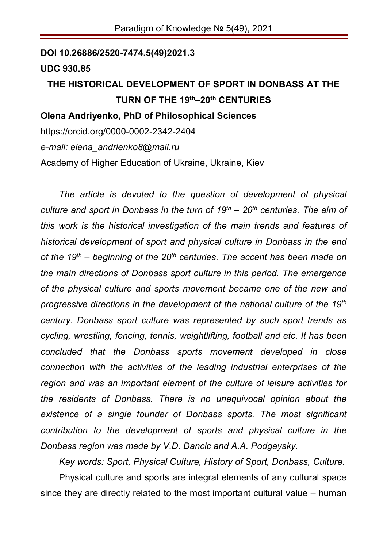## **DOI 10.26886/2520-7474.5(49)2021.3**

## **UDC 930.85**

# **THE HISTORICAL DEVELOPMENT OF SPORT IN DONBASS AT THE TURN OF THE 19th–20th CENTURIES**

#### **Olena Andriyenko, PhD of Philosophical Sciences**

https://orcid.org/0000-0002-2342-2404 *e-mail: elena\_andrienko8@mail.ru*  Academy of Higher Education of Ukraine, Ukraine, Kiev

*The article is devoted to the question of development of physical culture and sport in Donbass in the turn of 19th – 20th centuries. The aim of this work is the historical investigation of the main trends and features of historical development of sport and physical culture in Donbass in the end of the 19th – beginning of the 20th centuries. The accent has been made on the main directions of Donbass sport culture in this period. The emergence of the physical culture and sports movement became one of the new and progressive directions in the development of the national culture of the 19th century. Donbass sport culture was represented by such sport trends as cycling, wrestling, fencing, tennis, weightlifting, football and etc. It has been concluded that the Donbass sports movement developed in close connection with the activities of the leading industrial enterprises of the region and was an important element of the culture of leisure activities for the residents of Donbass. There is no unequivocal opinion about the existence of a single founder of Donbass sports. The most significant contribution to the development of sports and physical culture in the Donbass region was made by V.D. Dancic and A.A. Podgaysky.*

*Key words: Sport, Physical Culture, History of Sport, Donbass, Culture.*

Physical culture and sports are integral elements of any cultural space since they are directly related to the most important cultural value – human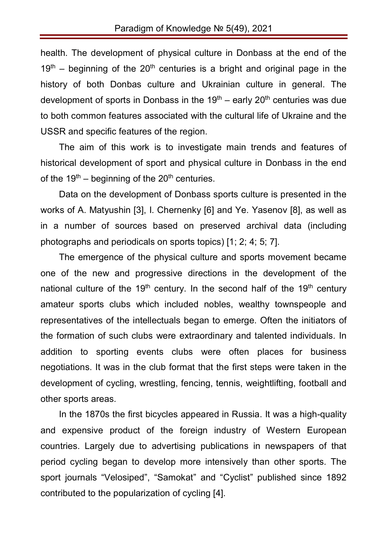health. The development of physical culture in Donbass at the end of the  $19<sup>th</sup>$  – beginning of the 20<sup>th</sup> centuries is a bright and original page in the history of both Donbas culture and Ukrainian culture in general. The development of sports in Donbass in the  $19<sup>th</sup>$  – early  $20<sup>th</sup>$  centuries was due to both common features associated with the cultural life of Ukraine and the USSR and specific features of the region.

The aim of this work is to investigate main trends and features of historical development of sport and physical culture in Donbass in the end of the  $19<sup>th</sup>$  – beginning of the  $20<sup>th</sup>$  centuries.

Data on the development of Donbass sports culture is presented in the works of A. Matyushin [3], I. Chernenky [6] and Ye. Yasenov [8], as well as in a number of sources based on preserved archival data (including photographs and periodicals on sports topics) [1; 2; 4; 5; 7].

The emergence of the physical culture and sports movement became one of the new and progressive directions in the development of the national culture of the  $19<sup>th</sup>$  century. In the second half of the  $19<sup>th</sup>$  century amateur sports clubs which included nobles, wealthy townspeople and representatives of the intellectuals began to emerge. Often the initiators of the formation of such clubs were extraordinary and talented individuals. In addition to sporting events clubs were often places for business negotiations. It was in the club format that the first steps were taken in the development of cycling, wrestling, fencing, tennis, weightlifting, football and other sports areas.

In the 1870s the first bicycles appeared in Russia. It was a high-quality and expensive product of the foreign industry of Western European countries. Largely due to advertising publications in newspapers of that period cycling began to develop more intensively than other sports. The sport journals "Velosiped", "Samokat" and "Cyclist" published since 1892 contributed to the popularization of cycling [4].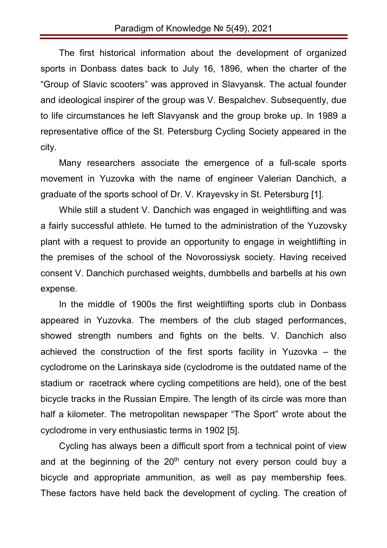The first historical information about the development of organized sports in Donbass dates back to July 16, 1896, when the charter of the "Group of Slavic scooters" was approved in Slavyansk. The actual founder and ideological inspirer of the group was V. Bespalchev. Subsequently, due to life circumstances he left Slavyansk and the group broke up. In 1989 a representative office of the St. Petersburg Cycling Society appeared in the city.

Many researchers associate the emergence of a full-scale sports movement in Yuzovka with the name of engineer Valerian Danchich, a graduate of the sports school of Dr. V. Krayevsky in St. Petersburg [1].

While still a student V. Danchich was engaged in weightlifting and was a fairly successful athlete. He turned to the administration of the Yuzovsky plant with a request to provide an opportunity to engage in weightlifting in the premises of the school of the Novorossiysk society. Having received consent V. Danchich purchased weights, dumbbells and barbells at his own expense.

In the middle of 1900s the first weightlifting sports club in Donbass appeared in Yuzovka. The members of the club staged performances, showed strength numbers and fights on the belts. V. Danchich also achieved the construction of the first sports facility in Yuzovka – the cyclodrome on the Larinskaya side (cyclodrome is the outdated name of the stadium or racetrack where cycling competitions are held), one of the best bicycle tracks in the Russian Empire. The length of its circle was more than half a kilometer. The metropolitan newspaper "The Sport" wrote about the cyclodrome in very enthusiastic terms in 1902 [5].

Cycling has always been a difficult sport from a technical point of view and at the beginning of the  $20<sup>th</sup>$  century not every person could buy a bicycle and appropriate ammunition, as well as pay membership fees. These factors have held back the development of cycling. The creation of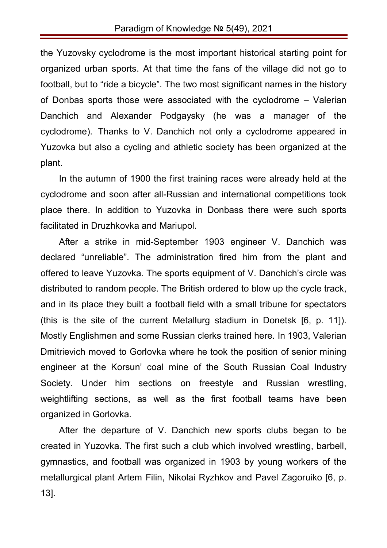the Yuzovsky cyclodrome is the most important historical starting point for organized urban sports. At that time the fans of the village did not go to football, but to "ride a bicycle". The two most significant names in the history of Donbas sports those were associated with the cyclodrome – Valerian Danchich and Alexander Podgaysky (he was a manager of the cyclodrome). Thanks to V. Danchich not only a cyclodrome appeared in Yuzovka but also a cycling and athletic society has been organized at the plant.

In the autumn of 1900 the first training races were already held at the cyclodrome and soon after all-Russian and international competitions took place there. In addition to Yuzovka in Donbass there were such sports facilitated in Druzhkovka and Mariupol.

After a strike in mid-September 1903 engineer V. Danchich was declared "unreliable". The administration fired him from the plant and offered to leave Yuzovka. The sports equipment of V. Danchich's circle was distributed to random people. The British ordered to blow up the cycle track, and in its place they built a football field with a small tribune for spectators (this is the site of the current Metallurg stadium in Donetsk [6, p. 11]). Mostly Englishmen and some Russian clerks trained here. In 1903, Valerian Dmitrievich moved to Gorlovka where he took the position of senior mining engineer at the Korsun' coal mine of the South Russian Coal Industry Society. Under him sections on freestyle and Russian wrestling, weightlifting sections, as well as the first football teams have been organized in Gorlovka.

After the departure of V. Danchich new sports clubs began to be created in Yuzovka. The first such a club which involved wrestling, barbell, gymnastics, and football was organized in 1903 by young workers of the metallurgical plant Artem Filin, Nikolai Ryzhkov and Pavel Zagoruiko [6, p. 13].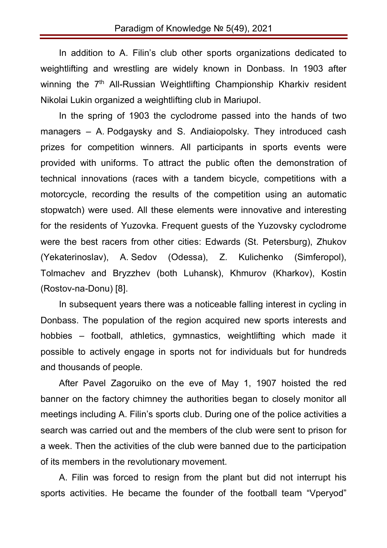In addition to A. Filin's club other sports organizations dedicated to weightlifting and wrestling are widely known in Donbass. In 1903 after winning the 7<sup>th</sup> All-Russian Weightlifting Championship Kharkiv resident Nikolai Lukin organized a weightlifting club in Mariupol.

In the spring of 1903 the cyclodrome passed into the hands of two managers – A. Podgaysky and S. Andiaiopolsky. They introduced cash prizes for competition winners. All participants in sports events were provided with uniforms. To attract the public often the demonstration of technical innovations (races with a tandem bicycle, competitions with a motorcycle, recording the results of the competition using an automatic stopwatch) were used. All these elements were innovative and interesting for the residents of Yuzovka. Frequent guests of the Yuzovsky cyclodrome were the best racers from other cities: Edwards (St. Petersburg), Zhukov (Yekaterinoslav), A. Sedov (Odessa), Z. Kulichenko (Simferopol), Tolmachev and Bryzzhev (both Luhansk), Khmurov (Kharkov), Kostin (Rostov-na-Donu) [8].

In subsequent years there was a noticeable falling interest in cycling in Donbass. The population of the region acquired new sports interests and hobbies – football, athletics, gymnastics, weightlifting which made it possible to actively engage in sports not for individuals but for hundreds and thousands of people.

After Pavel Zagoruiko on the eve of May 1, 1907 hoisted the red banner on the factory chimney the authorities began to closely monitor all meetings including A. Filin's sports club. During one of the police activities a search was carried out and the members of the club were sent to prison for a week. Then the activities of the club were banned due to the participation of its members in the revolutionary movement.

A. Filin was forced to resign from the plant but did not interrupt his sports activities. He became the founder of the football team "Vperyod"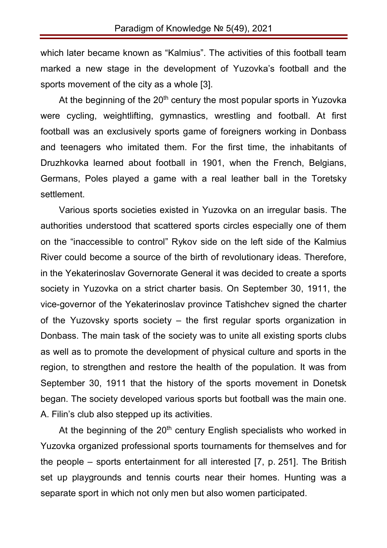which later became known as "Kalmius". The activities of this football team marked a new stage in the development of Yuzovka's football and the sports movement of the city as a whole [3].

At the beginning of the  $20<sup>th</sup>$  century the most popular sports in Yuzovka were cycling, weightlifting, gymnastics, wrestling and football. At first football was an exclusively sports game of foreigners working in Donbass and teenagers who imitated them. For the first time, the inhabitants of Druzhkovka learned about football in 1901, when the French, Belgians, Germans, Poles played a game with a real leather ball in the Toretsky settlement.

Various sports societies existed in Yuzovka on an irregular basis. The authorities understood that scattered sports circles especially one of them on the "inaccessible to control" Rykov side on the left side of the Kalmius River could become a source of the birth of revolutionary ideas. Therefore, in the Yekaterinoslav Governorate General it was decided to create a sports society in Yuzovka on a strict charter basis. On September 30, 1911, the vice-governor of the Yekaterinoslav province Tatishchev signed the charter of the Yuzovsky sports society – the first regular sports organization in Donbass. The main task of the society was to unite all existing sports clubs as well as to promote the development of physical culture and sports in the region, to strengthen and restore the health of the population. It was from September 30, 1911 that the history of the sports movement in Donetsk began. The society developed various sports but football was the main one. A. Filin's club also stepped up its activities.

At the beginning of the  $20<sup>th</sup>$  century English specialists who worked in Yuzovka organized professional sports tournaments for themselves and for the people – sports entertainment for all interested [7, p. 251]. The British set up playgrounds and tennis courts near their homes. Hunting was a separate sport in which not only men but also women participated.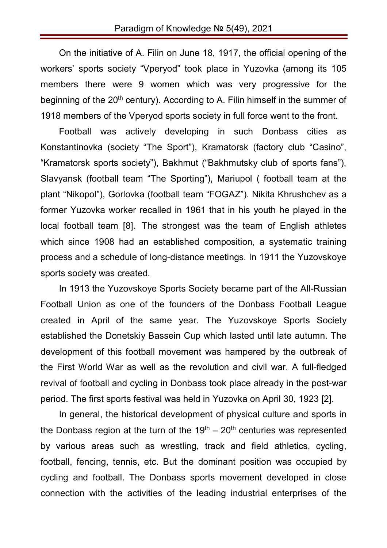On the initiative of A. Filin on June 18, 1917, the official opening of the workers' sports society "Vperyod" took place in Yuzovka (among its 105 members there were 9 women which was very progressive for the beginning of the  $20<sup>th</sup>$  century). According to A. Filin himself in the summer of 1918 members of the Vperyod sports society in full force went to the front.

Football was actively developing in such Donbass cities as Konstantinovka (society "The Sport"), Kramatorsk (factory club "Casino", "Kramatorsk sports society"), Bakhmut ("Bakhmutsky club of sports fans"), Slavyansk (football team "The Sporting"), Mariupol ( football team at the plant "Nikopol"), Gorlovka (football team "FOGAZ"). Nikita Khrushchev as a former Yuzovka worker recalled in 1961 that in his youth he played in the local football team [8]. The strongest was the team of English athletes which since 1908 had an established composition, a systematic training process and a schedule of long-distance meetings. In 1911 the Yuzovskoye sports society was created.

In 1913 the Yuzovskoye Sports Society became part of the All-Russian Football Union as one of the founders of the Donbass Football League created in April of the same year. The Yuzovskoye Sports Society established the Donetskiy Bassein Cup which lasted until late autumn. The development of this football movement was hampered by the outbreak of the First World War as well as the revolution and civil war. A full-fledged revival of football and cycling in Donbass took place already in the post-war period. The first sports festival was held in Yuzovka on April 30, 1923 [2].

In general, the historical development of physical culture and sports in the Donbass region at the turn of the  $19<sup>th</sup> - 20<sup>th</sup>$  centuries was represented by various areas such as wrestling, track and field athletics, cycling, football, fencing, tennis, etc. But the dominant position was occupied by cycling and football. The Donbass sports movement developed in close connection with the activities of the leading industrial enterprises of the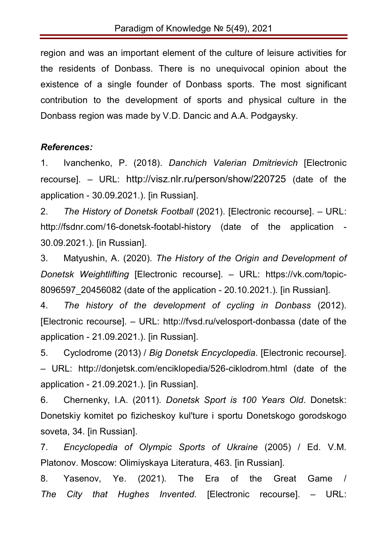region and was an important element of the culture of leisure activities for the residents of Donbass. There is no unequivocal opinion about the existence of a single founder of Donbass sports. The most significant contribution to the development of sports and physical culture in the Donbass region was made by V.D. Dancic and A.A. Podgaysky.

## *References:*

1. Ivanchenko, P. (2018). *Danchich Valerian Dmitrievich* [Electronic recourse]. – URL: http://visz.nlr.ru/person/show/220725 (date of the application - 30.09.2021.). [in Russian].

2. *The History of Donetsk Football* (2021). [Electronic recourse]. – URL: http://fsdnr.com/16-donetsk-footabl-history (date of the application - 30.09.2021.). [in Russian].

3. Matyushin, A. (2020). *The History of the Origin and Development of Donetsk Weightlifting* [Electronic recourse]. – URL: https://vk.com/topic-8096597\_20456082 (date of the application - 20.10.2021.). [in Russian].

4. *The history of the development of cycling in Donbass* (2012). [Electronic recourse]. – URL: http://fvsd.ru/velosport-donbassa (date of the application - 21.09.2021.). [in Russian].

5. Cyclodrome (2013) / *Big Donetsk Encyclopedia*. [Electronic recourse]. – URL: http://donjetsk.com/enciklopedia/526-ciklodrom.html (date of the application - 21.09.2021.). [in Russian].

6. Chernenky, I.A. (2011). *Donetsk Sport is 100 Years Old*. Donetsk: Donetskiy komitet po fizicheskoy kul'ture i sportu Donetskogo gorodskogo soveta, 34. [in Russian].

7. *Encyclopedia of Olympic Sports of Ukraine* (2005) / Ed. V.M. Platonov. Moscow: Olimiyskaya Literatura, 463. [in Russian].

8. Yasenov, Ye. (2021). The Era of the Great Game / *The City that Hughes Invented*. [Electronic recourse]. – URL: